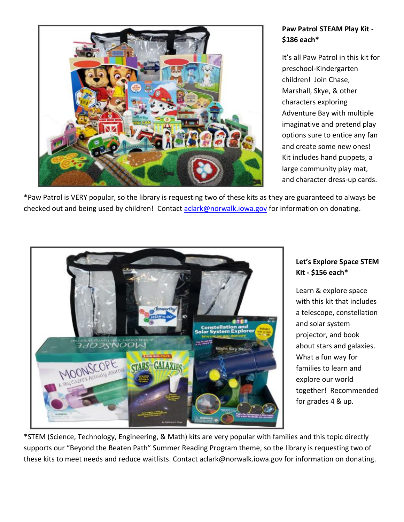

# **Paw Patrol STEAM Play Kit - \$186 each\***

It's all Paw Patrol in this kit for preschool-Kindergarten children! Join Chase, Marshall, Skye, & other characters exploring Adventure Bay with multiple imaginative and pretend play options sure to entice any fan and create some new ones! Kit includes hand puppets, a large community play mat, and character dress-up cards.

\*Paw Patrol is VERY popular, so the library is requesting two of these kits as they are guaranteed to always be checked out and being used by children! Contact [aclark@norwalk.iowa.gov](mailto:aclark@norwalk.iowa.gov) for information on donating.



### **Let's Explore Space STEM Kit - \$156 each\***

Learn & explore space with this kit that includes a telescope, constellation and solar system projector, and book about stars and galaxies. What a fun way for families to learn and explore our world together! Recommended for grades 4 & up.

\*STEM (Science, Technology, Engineering, & Math) kits are very popular with families and this topic directly supports our "Beyond the Beaten Path" Summer Reading Program theme, so the library is requesting two of these kits to meet needs and reduce waitlists. Contact aclark@norwalk.iowa.gov for information on donating.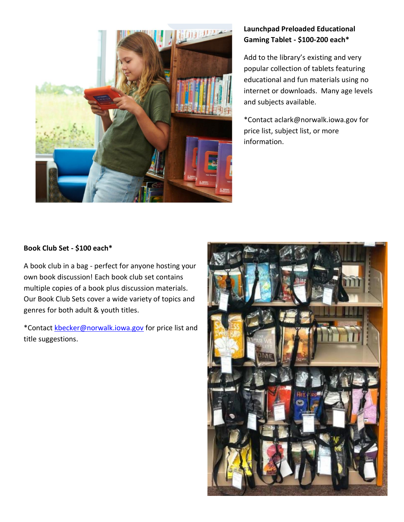

# **Launchpad Preloaded Educational Gaming Tablet - \$100-200 each\***

Add to the library's existing and very popular collection of tablets featuring educational and fun materials using no internet or downloads. Many age levels and subjects available.

\*Contact aclark@norwalk.iowa.gov for price list, subject list, or more information.

### **Book Club Set - \$100 each\***

A book club in a bag - perfect for anyone hosting your own book discussion! Each book club set contains multiple copies of a book plus discussion materials. Our Book Club Sets cover a wide variety of topics and genres for both adult & youth titles.

\*Contact [kbecker@norwalk.iowa.gov](mailto:kbecker@norwalk.iowa.gov) for price list and title suggestions.